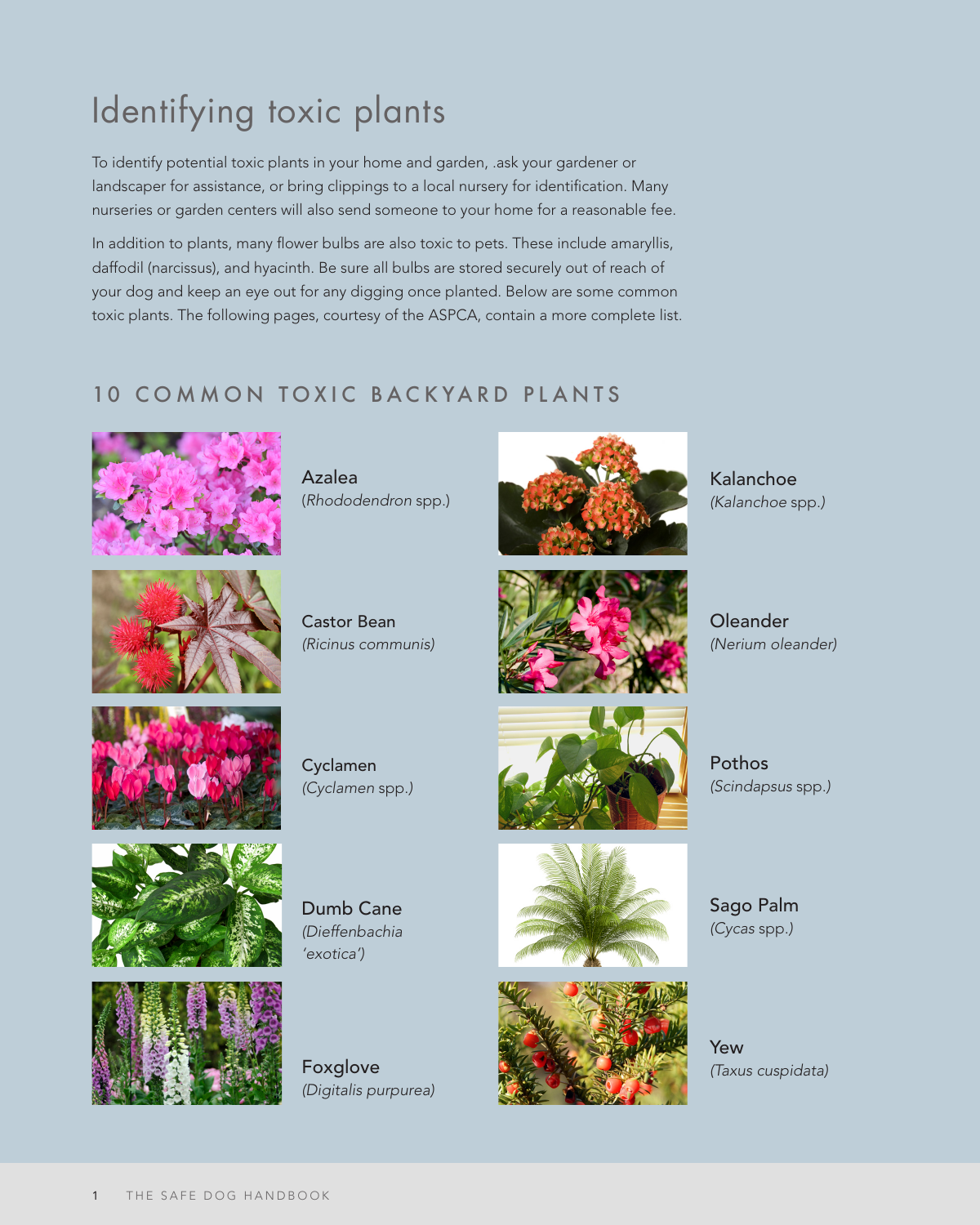# Identifying toxic plants

To identify potential toxic plants in your home and garden, .ask your gardener or landscaper for assistance, or bring clippings to a local nursery for identification. Many nurseries or garden centers will also send someone to your home for a reasonable fee.

In addition to plants, many flower bulbs are also toxic to pets. These include amaryllis, daffodil (narcissus), and hyacinth. Be sure all bulbs are stored securely out of reach of your dog and keep an eye out for any digging once planted. Below are some common toxic plants. The following pages, courtesy of the ASPCA, contain a more complete list.

#### 10 COMMON TOXIC BACKYARD PLANTS



Azalea (*Rhododendron* spp.)



Castor Bean *(Ricinus communis)*



*(Kalanchoe* spp.*)*

Kalanchoe



Oleander *(Nerium oleander)*



Cyclamen *(Cyclamen* spp.*)*



Pothos *(Scindapsus* spp.*)*

Sago Palm *(Cycas* spp.*)*



Dumb Cane *(Dieffenbachia 'exotica')*





Yew *(Taxus cuspidata)*



Foxglove *(Digitalis purpurea)*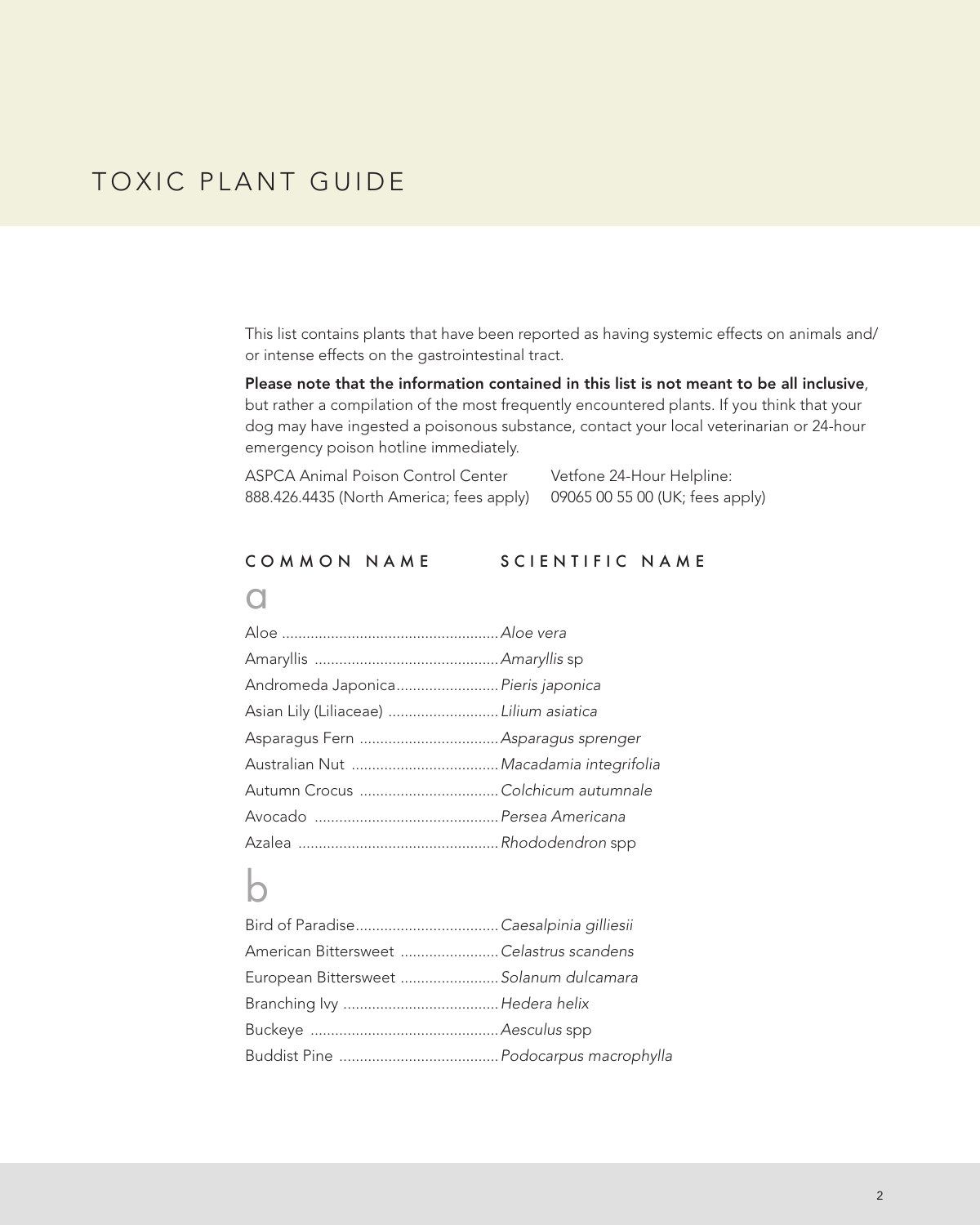This list contains plants that have been reported as having systemic effects on animals and/ or intense effects on the gastrointestinal tract.

Please note that the information contained in this list is not meant to be all inclusive, but rather a compilation of the most frequently encountered plants. If you think that your dog may have ingested a poisonous substance, contact your local veterinarian or 24-hour emergency poison hotline immediately.

| ASPCA Animal Poison Control Center       | Vetfone 24-Hour Helpline:       |
|------------------------------------------|---------------------------------|
| 888.426.4435 (North America; fees apply) | 09065 00 55 00 (UK; fees apply) |

#### COMMON NAME SCIENTIFIC NAME

#### $\Omega$

| Andromeda Japonica Pieris japonica      |  |
|-----------------------------------------|--|
| Asian Lily (Liliaceae)  Lilium asiatica |  |
|                                         |  |
|                                         |  |
| Autumn Crocus Colchicum autumnale       |  |
|                                         |  |
|                                         |  |

#### b

| American Bittersweet Celastrus scandens |  |
|-----------------------------------------|--|
| European Bittersweet  Solanum dulcamara |  |
|                                         |  |
|                                         |  |
|                                         |  |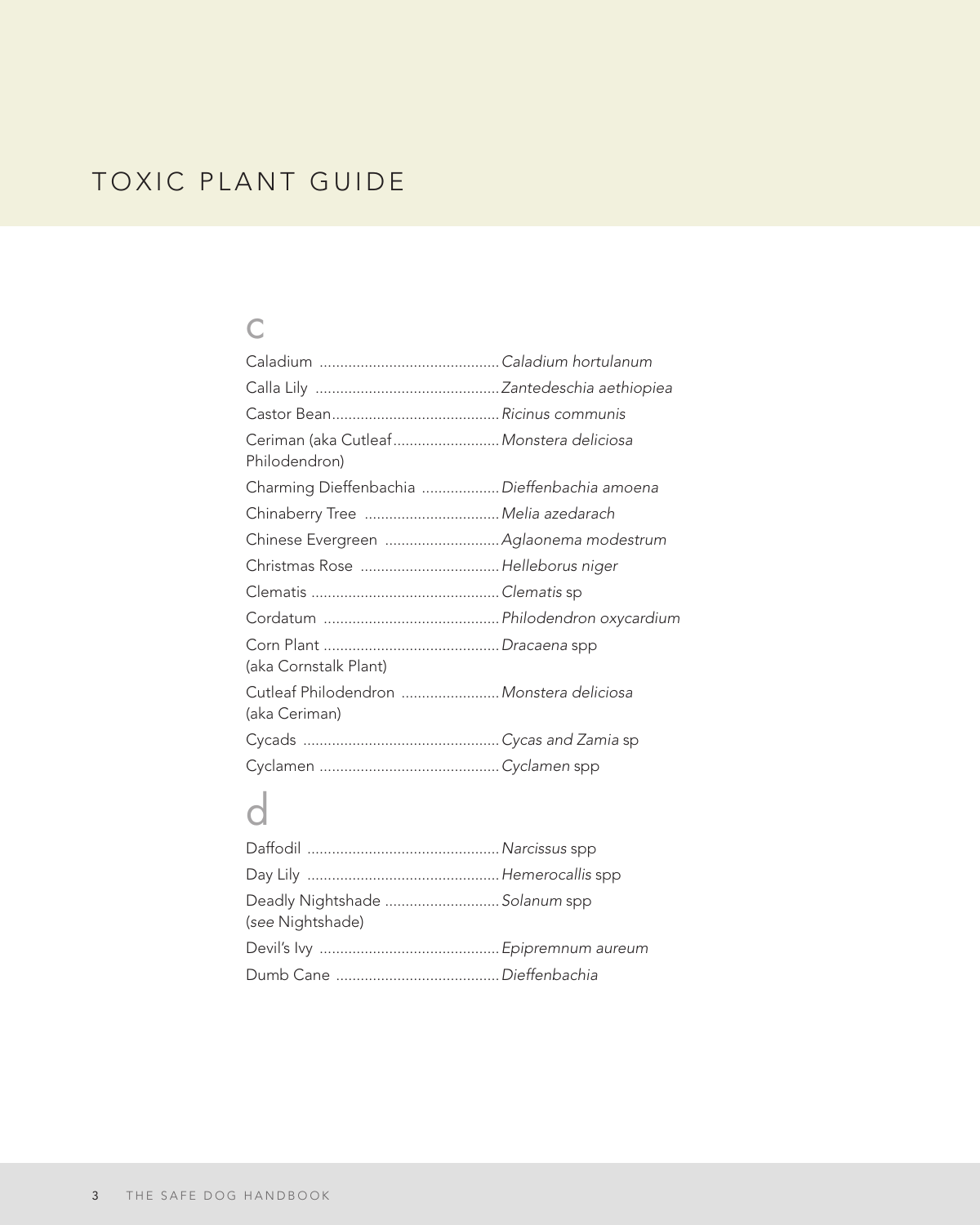### c

| Ceriman (aka Cutleaf Monstera deliciosa<br>Philodendron)  |  |
|-----------------------------------------------------------|--|
| Charming Dieffenbachia  Dieffenbachia amoena              |  |
| Chinaberry Tree  Melia azedarach                          |  |
|                                                           |  |
| Christmas Rose Helleborus niger                           |  |
|                                                           |  |
|                                                           |  |
| (aka Cornstalk Plant)                                     |  |
| Cutleaf Philodendron  Monstera deliciosa<br>(aka Ceriman) |  |
|                                                           |  |
|                                                           |  |
|                                                           |  |

# d

| Deadly Nightshade  Solanum spp<br>(see Nightshade) |  |
|----------------------------------------------------|--|
|                                                    |  |
|                                                    |  |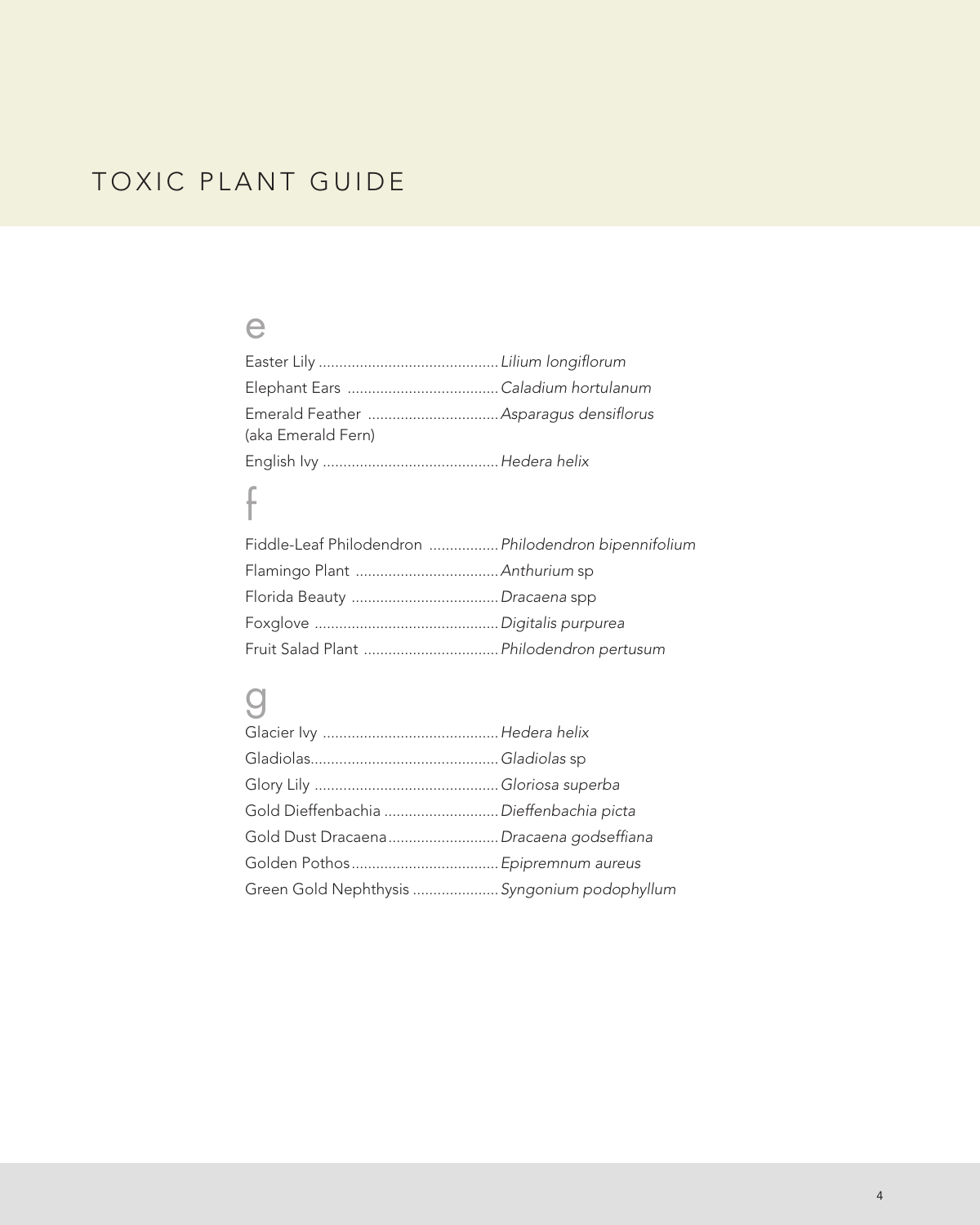#### e

| (aka Emerald Fern) |  |
|--------------------|--|
|                    |  |

# f

| Fiddle-Leaf Philodendron  Philodendron bipennifolium |  |
|------------------------------------------------------|--|
|                                                      |  |
|                                                      |  |
|                                                      |  |
| Fruit Salad Plant  Philodendron pertusum             |  |

### g

| Gold Dieffenbachia  Dieffenbachia picta      |  |
|----------------------------------------------|--|
| Gold Dust Dracaena Dracaena godseffiana      |  |
|                                              |  |
| Green Gold Nephthysis  Syngonium podophyllum |  |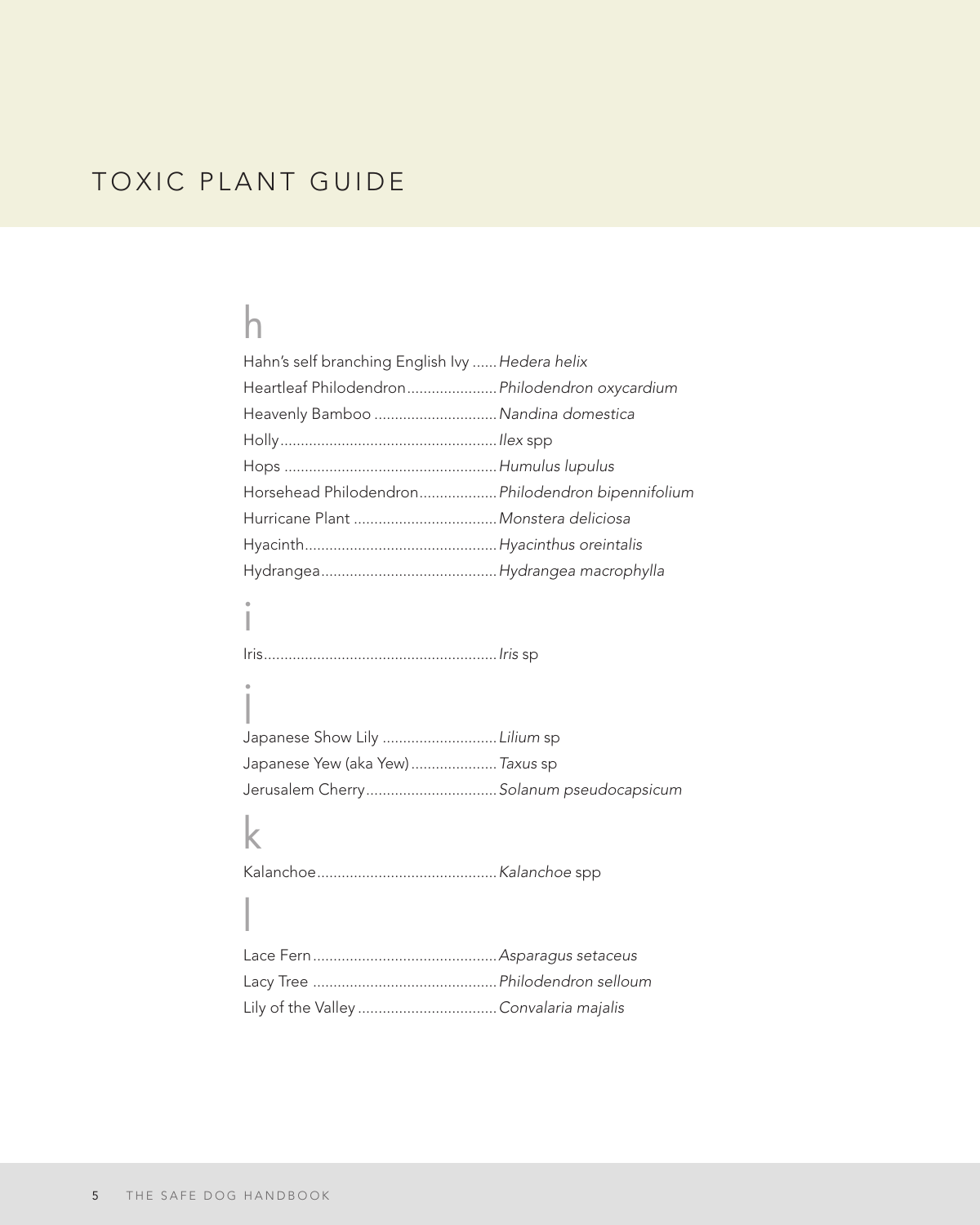## h

| Hahn's self branching English Ivy  Hedera helix   |  |
|---------------------------------------------------|--|
| Heartleaf Philodendron Philodendron oxycardium    |  |
| Heavenly Bamboo  Nandina domestica                |  |
|                                                   |  |
|                                                   |  |
| Horsehead Philodendron Philodendron bipennifolium |  |
| Hurricane Plant  Monstera deliciosa               |  |
|                                                   |  |
|                                                   |  |
|                                                   |  |

Iris.........................................................*Iris* sp

| Japanese Show Lily  Lilium sp           |  |
|-----------------------------------------|--|
| Japanese Yew (aka Yew)  Taxus sp        |  |
| Jerusalem Cherry Solanum pseudocapsicum |  |

## k

l

i

j

Kalanchoe............................................*Kalanchoe* spp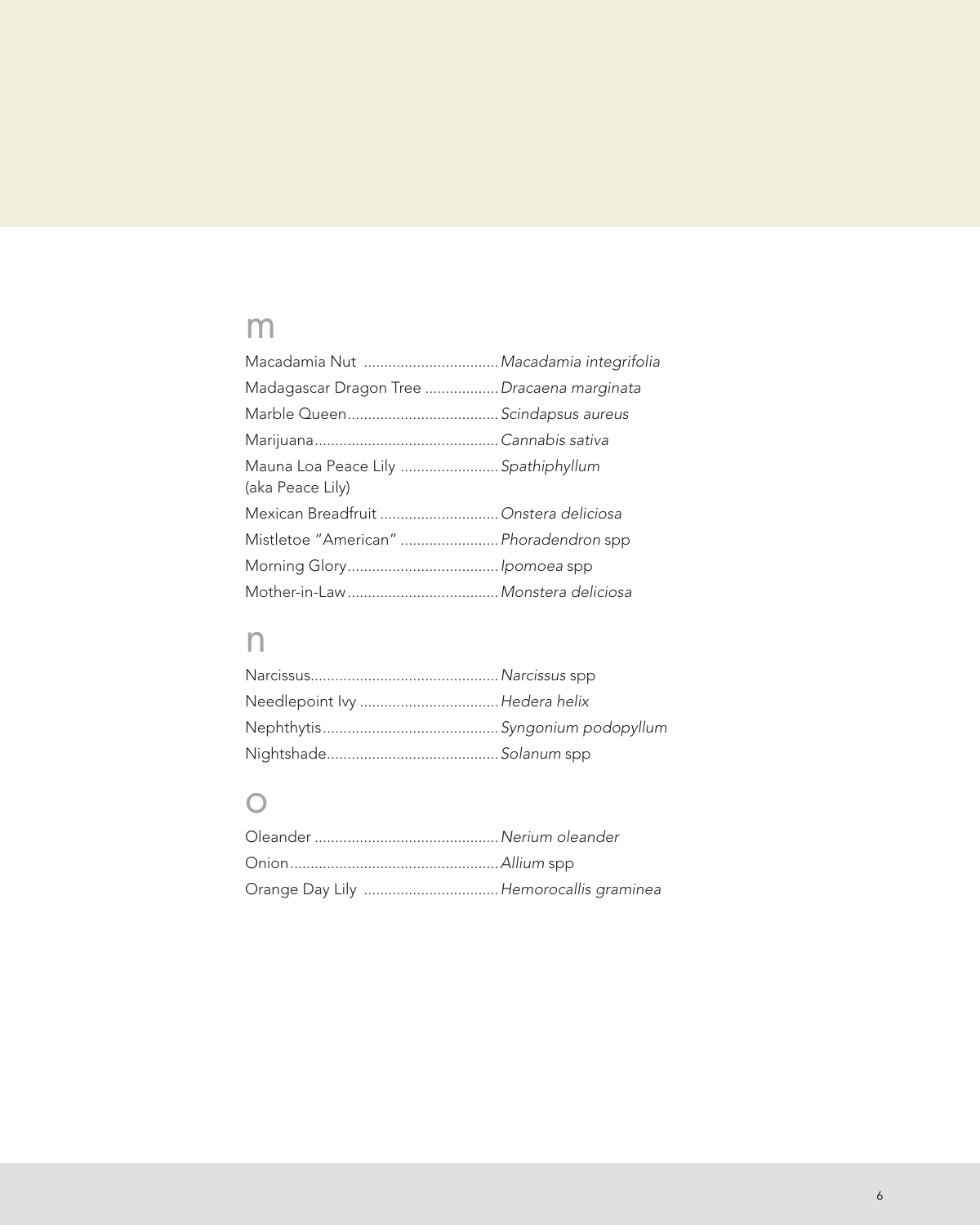## m

| Macadamia Nut  Macadamia integrifolia                   |  |
|---------------------------------------------------------|--|
| Madagascar Dragon Tree  Dracaena marginata              |  |
|                                                         |  |
|                                                         |  |
| Mauna Loa Peace Lily  Spathiphyllum<br>(aka Peace Lily) |  |
| Mexican Breadfruit  Onstera deliciosa                   |  |
| Mistletoe "American"  Phoradendron spp                  |  |
|                                                         |  |
|                                                         |  |
|                                                         |  |

## n

| Needlepoint lvy  Hedera helix |
|-------------------------------|
|                               |
|                               |

### o

| Orange Day Lily  Hemorocallis graminea |  |
|----------------------------------------|--|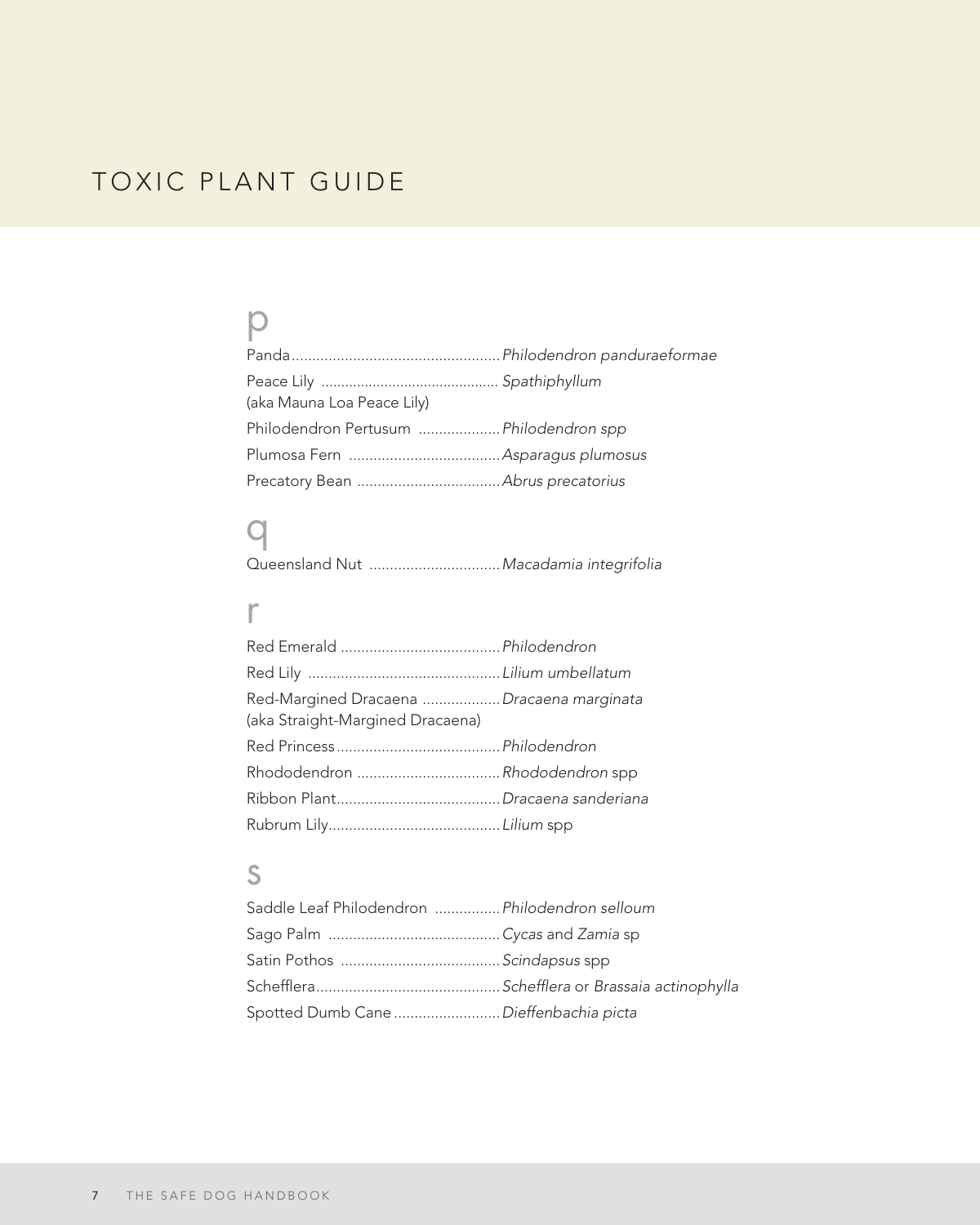### p

| (aka Mauna Loa Peace Lily)              |  |
|-----------------------------------------|--|
| Philodendron Pertusum  Philodendron spp |  |
|                                         |  |
|                                         |  |

### q

Queensland Nut ................................*Macadamia integrifolia*

#### r

| Red-Margined Dracaena  Dracaena marginata |  |
|-------------------------------------------|--|
| (aka Straight-Margined Dracaena)          |  |
|                                           |  |
|                                           |  |
|                                           |  |
|                                           |  |
|                                           |  |

### s

| Saddle Leaf Philodendron  Philodendron selloum |  |
|------------------------------------------------|--|
|                                                |  |
|                                                |  |
|                                                |  |
| Spotted Dumb Cane  Dieffenbachia picta         |  |